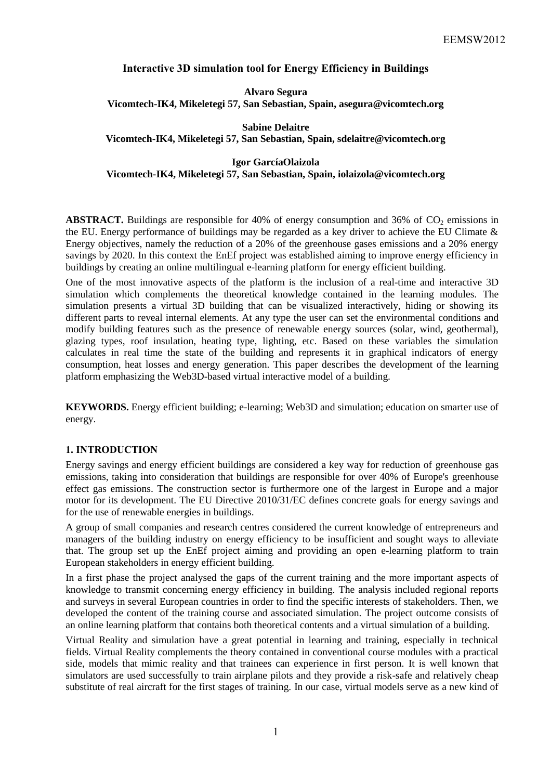# **Interactive 3D simulation tool for Energy Efficiency in Buildings**

**Alvaro Segura Vicomtech-IK4, Mikeletegi 57, San Sebastian, Spain, asegura@vicomtech.org**

**Sabine Delaitre Vicomtech-IK4, Mikeletegi 57, San Sebastian, Spain, sdelaitre@vicomtech.org**

**Igor GarcíaOlaizola Vicomtech-IK4, Mikeletegi 57, San Sebastian, Spain, iolaizola@vicomtech.org**

**ABSTRACT.** Buildings are responsible for 40% of energy consumption and 36% of  $CO<sub>2</sub>$  emissions in the EU. Energy performance of buildings may be regarded as a key driver to achieve the EU Climate & Energy objectives, namely the reduction of a 20% of the greenhouse gases emissions and a 20% energy savings by 2020. In this context the EnEf project was established aiming to improve energy efficiency in buildings by creating an online multilingual e-learning platform for energy efficient building.

One of the most innovative aspects of the platform is the inclusion of a real-time and interactive 3D simulation which complements the theoretical knowledge contained in the learning modules. The simulation presents a virtual 3D building that can be visualized interactively, hiding or showing its different parts to reveal internal elements. At any type the user can set the environmental conditions and modify building features such as the presence of renewable energy sources (solar, wind, geothermal), glazing types, roof insulation, heating type, lighting, etc. Based on these variables the simulation calculates in real time the state of the building and represents it in graphical indicators of energy consumption, heat losses and energy generation. This paper describes the development of the learning platform emphasizing the Web3D-based virtual interactive model of a building.

**KEYWORDS.** Energy efficient building; e-learning; Web3D and simulation; education on smarter use of energy.

## **1. INTRODUCTION**

Energy savings and energy efficient buildings are considered a key way for reduction of greenhouse gas emissions, taking into consideration that buildings are responsible for over 40% of Europe's greenhouse effect gas emissions. The construction sector is furthermore one of the largest in Europe and a major motor for its development. The EU Directive 2010/31/EC defines concrete goals for energy savings and for the use of renewable energies in buildings.

A group of small companies and research centres considered the current knowledge of entrepreneurs and managers of the building industry on energy efficiency to be insufficient and sought ways to alleviate that. The group set up the EnEf project aiming and providing an open e-learning platform to train European stakeholders in energy efficient building.

In a first phase the project analysed the gaps of the current training and the more important aspects of knowledge to transmit concerning energy efficiency in building. The analysis included regional reports and surveys in several European countries in order to find the specific interests of stakeholders. Then, we developed the content of the training course and associated simulation. The project outcome consists of an online learning platform that contains both theoretical contents and a virtual simulation of a building.

Virtual Reality and simulation have a great potential in learning and training, especially in technical fields. Virtual Reality complements the theory contained in conventional course modules with a practical side, models that mimic reality and that trainees can experience in first person. It is well known that simulators are used successfully to train airplane pilots and they provide a risk-safe and relatively cheap substitute of real aircraft for the first stages of training. In our case, virtual models serve as a new kind of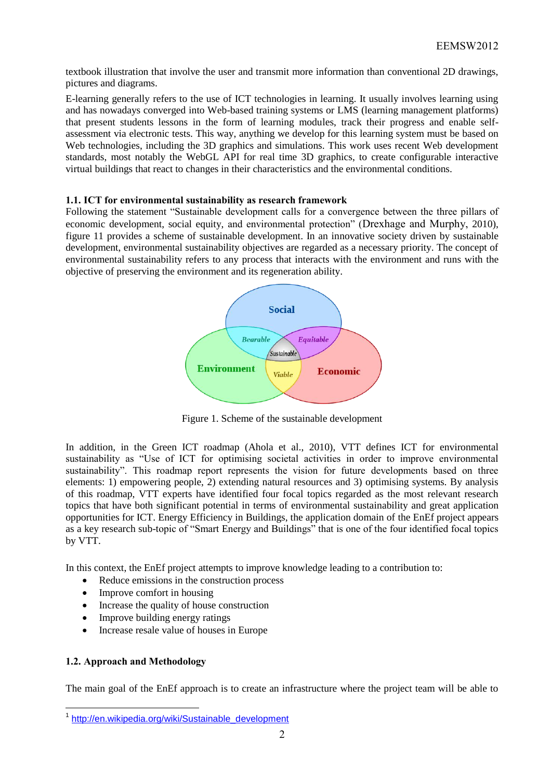textbook illustration that involve the user and transmit more information than conventional 2D drawings, pictures and diagrams.

E-learning generally refers to the use of ICT technologies in learning. It usually involves learning using and has nowadays converged into Web-based training systems or LMS (learning management platforms) that present students lessons in the form of learning modules, track their progress and enable selfassessment via electronic tests. This way, anything we develop for this learning system must be based on Web technologies, including the 3D graphics and simulations. This work uses recent Web development standards, most notably the WebGL API for real time 3D graphics, to create configurable interactive virtual buildings that react to changes in their characteristics and the environmental conditions.

## **1.1. ICT for environmental sustainability as research framework**

Following the statement "Sustainable development calls for a convergence between the three pillars of economic development, social equity, and environmental protection" (Drexhage and Murphy, 2010), figure 11 provides a scheme of sustainable development. In an innovative society driven by sustainable development, environmental sustainability objectives are regarded as a necessary priority. The concept of environmental sustainability refers to any process that interacts with the environment and runs with the objective of preserving the environment and its regeneration ability.



Figure 1. Scheme of the sustainable development

In addition, in the Green ICT roadmap (Ahola et al., 2010), VTT defines ICT for environmental sustainability as "Use of ICT for optimising societal activities in order to improve environmental sustainability". This roadmap report represents the vision for future developments based on three elements: 1) empowering people, 2) extending natural resources and 3) optimising systems. By analysis of this roadmap, VTT experts have identified four focal topics regarded as the most relevant research topics that have both significant potential in terms of environmental sustainability and great application opportunities for ICT. Energy Efficiency in Buildings, the application domain of the EnEf project appears as a key research sub-topic of "Smart Energy and Buildings" that is one of the four identified focal topics by VTT.

In this context, the EnEf project attempts to improve knowledge leading to a contribution to:

- Reduce emissions in the construction process
- Improve comfort in housing
- Increase the quality of house construction
- Improve building energy ratings
- Increase resale value of houses in Europe

## **1.2. Approach and Methodology**

The main goal of the EnEf approach is to create an infrastructure where the project team will be able to

<sup>1&</sup>lt;br>1 [http://en.wikipedia.org/wiki/Sustainable\\_development](http://en.wikipedia.org/wiki/Sustainable_development)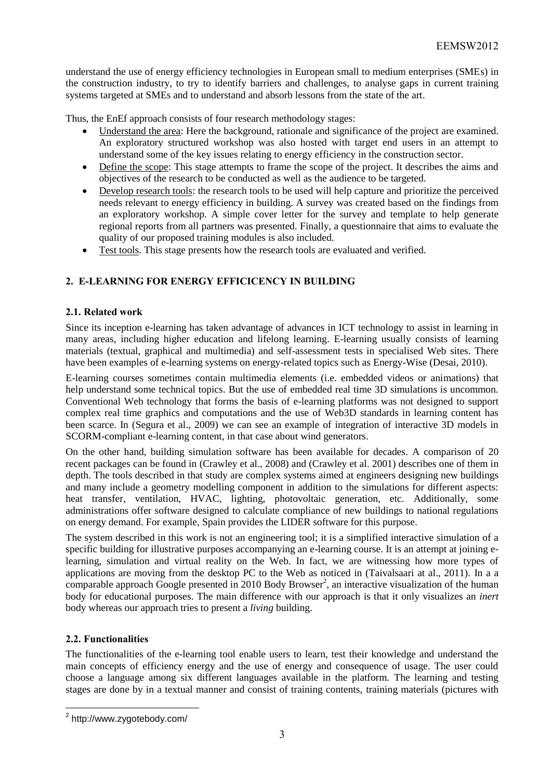understand the use of energy efficiency technologies in European small to medium enterprises (SMEs) in the construction industry, to try to identify barriers and challenges, to analyse gaps in current training systems targeted at SMEs and to understand and absorb lessons from the state of the art.

Thus, the EnEf approach consists of four research methodology stages:

- Understand the area: Here the background, rationale and significance of the project are examined. An exploratory structured workshop was also hosted with target end users in an attempt to understand some of the key issues relating to energy efficiency in the construction sector.
- Define the scope: This stage attempts to frame the scope of the project. It describes the aims and objectives of the research to be conducted as well as the audience to be targeted.
- Develop research tools: the research tools to be used will help capture and prioritize the perceived needs relevant to energy efficiency in building. A survey was created based on the findings from an exploratory workshop. A simple cover letter for the survey and template to help generate regional reports from all partners was presented. Finally, a questionnaire that aims to evaluate the quality of our proposed training modules is also included.
- Test tools. This stage presents how the research tools are evaluated and verified.

## **2. E-LEARNING FOR ENERGY EFFICICENCY IN BUILDING**

### **2.1. Related work**

Since its inception e-learning has taken advantage of advances in ICT technology to assist in learning in many areas, including higher education and lifelong learning. E-learning usually consists of learning materials (textual, graphical and multimedia) and self-assessment tests in specialised Web sites. There have been examples of e-learning systems on energy-related topics such as Energy-Wise (Desai, 2010).

E-learning courses sometimes contain multimedia elements (i.e. embedded videos or animations) that help understand some technical topics. But the use of embedded real time 3D simulations is uncommon. Conventional Web technology that forms the basis of e-learning platforms was not designed to support complex real time graphics and computations and the use of Web3D standards in learning content has been scarce. In (Segura et al., 2009) we can see an example of integration of interactive 3D models in SCORM-compliant e-learning content, in that case about wind generators.

On the other hand, building simulation software has been available for decades. A comparison of 20 recent packages can be found in (Crawley et al., 2008) and (Crawley et al. 2001) describes one of them in depth. The tools described in that study are complex systems aimed at engineers designing new buildings and many include a geometry modelling component in addition to the simulations for different aspects: heat transfer, ventilation, HVAC, lighting, photovoltaic generation, etc. Additionally, some administrations offer software designed to calculate compliance of new buildings to national regulations on energy demand. For example, Spain provides the LIDER software for this purpose.

The system described in this work is not an engineering tool; it is a simplified interactive simulation of a specific building for illustrative purposes accompanying an e-learning course. It is an attempt at joining elearning, simulation and virtual reality on the Web. In fact, we are witnessing how more types of applications are moving from the desktop PC to the Web as noticed in (Taivalsaari at al., 2011). In a a comparable approach Google presented in 2010 Body Browser<sup>2</sup>, an interactive visualization of the human body for educational purposes. The main difference with our approach is that it only visualizes an *inert* body whereas our approach tries to present a *living* building.

### **2.2. Functionalities**

 $\overline{a}$ 

The functionalities of the e-learning tool enable users to learn, test their knowledge and understand the main concepts of efficiency energy and the use of energy and consequence of usage. The user could choose a language among six different languages available in the platform. The learning and testing stages are done by in a textual manner and consist of training contents, training materials (pictures with

<sup>&</sup>lt;sup>2</sup> http://www.zygotebody.com/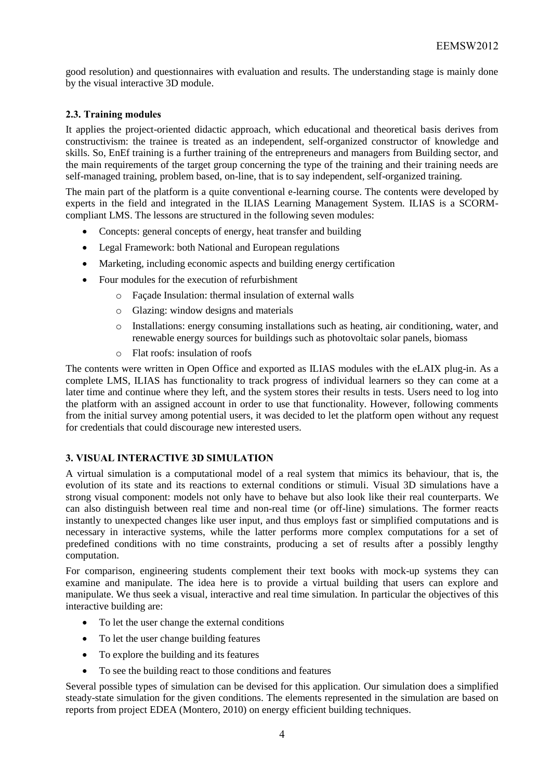good resolution) and questionnaires with evaluation and results. The understanding stage is mainly done by the visual interactive 3D module.

## **2.3. Training modules**

It applies the project-oriented didactic approach, which educational and theoretical basis derives from constructivism: the trainee is treated as an independent, self-organized constructor of knowledge and skills. So, EnEf training is a further training of the entrepreneurs and managers from Building sector, and the main requirements of the target group concerning the type of the training and their training needs are self-managed training, problem based, on-line, that is to say independent, self-organized training.

The main part of the platform is a quite conventional e-learning course. The contents were developed by experts in the field and integrated in the ILIAS Learning Management System. ILIAS is a SCORMcompliant LMS. The lessons are structured in the following seven modules:

- Concepts: general concepts of energy, heat transfer and building
- Legal Framework: both National and European regulations
- Marketing, including economic aspects and building energy certification
- Four modules for the execution of refurbishment
	- o Façade Insulation: thermal insulation of external walls
	- o Glazing: window designs and materials
	- o Installations: energy consuming installations such as heating, air conditioning, water, and renewable energy sources for buildings such as photovoltaic solar panels, biomass
	- o Flat roofs: insulation of roofs

The contents were written in Open Office and exported as ILIAS modules with the eLAIX plug-in. As a complete LMS, ILIAS has functionality to track progress of individual learners so they can come at a later time and continue where they left, and the system stores their results in tests. Users need to log into the platform with an assigned account in order to use that functionality. However, following comments from the initial survey among potential users, it was decided to let the platform open without any request for credentials that could discourage new interested users.

### **3. VISUAL INTERACTIVE 3D SIMULATION**

A virtual simulation is a computational model of a real system that mimics its behaviour, that is, the evolution of its state and its reactions to external conditions or stimuli. Visual 3D simulations have a strong visual component: models not only have to behave but also look like their real counterparts. We can also distinguish between real time and non-real time (or off-line) simulations. The former reacts instantly to unexpected changes like user input, and thus employs fast or simplified computations and is necessary in interactive systems, while the latter performs more complex computations for a set of predefined conditions with no time constraints, producing a set of results after a possibly lengthy computation.

For comparison, engineering students complement their text books with mock-up systems they can examine and manipulate. The idea here is to provide a virtual building that users can explore and manipulate. We thus seek a visual, interactive and real time simulation. In particular the objectives of this interactive building are:

- To let the user change the external conditions
- To let the user change building features
- To explore the building and its features
- To see the building react to those conditions and features

Several possible types of simulation can be devised for this application. Our simulation does a simplified steady-state simulation for the given conditions. The elements represented in the simulation are based on reports from project EDEA (Montero, 2010) on energy efficient building techniques.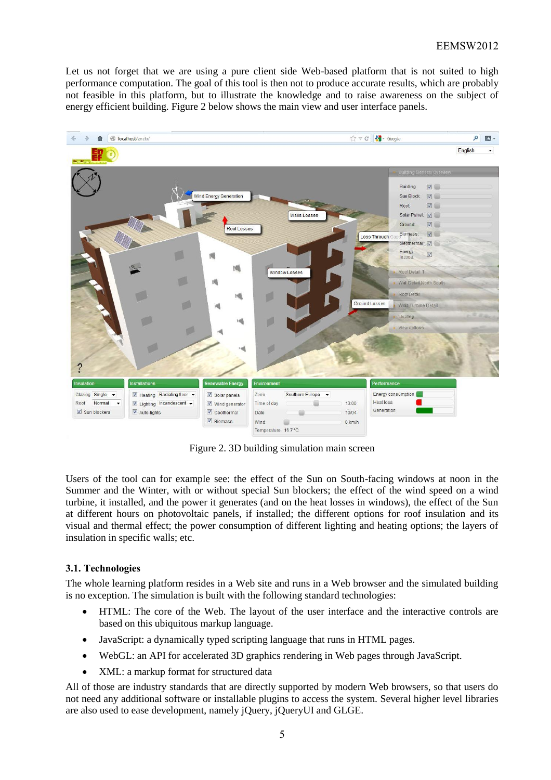Let us not forget that we are using a pure client side Web-based platform that is not suited to high performance computation. The goal of this tool is then not to produce accurate results, which are probably not feasible in this platform, but to illustrate the knowledge and to raise awareness on the subject of energy efficient building. Figure 2 below shows the main view and user interface panels.



Figure 2. 3D building simulation main screen

Users of the tool can for example see: the effect of the Sun on South-facing windows at noon in the Summer and the Winter, with or without special Sun blockers; the effect of the wind speed on a wind turbine, it installed, and the power it generates (and on the heat losses in windows), the effect of the Sun at different hours on photovoltaic panels, if installed; the different options for roof insulation and its visual and thermal effect; the power consumption of different lighting and heating options; the layers of insulation in specific walls; etc.

## **3.1. Technologies**

The whole learning platform resides in a Web site and runs in a Web browser and the simulated building is no exception. The simulation is built with the following standard technologies:

- HTML: The core of the Web. The layout of the user interface and the interactive controls are based on this ubiquitous markup language.
- JavaScript: a dynamically typed scripting language that runs in HTML pages.
- WebGL: an API for accelerated 3D graphics rendering in Web pages through JavaScript.
- XML: a markup format for structured data

All of those are industry standards that are directly supported by modern Web browsers, so that users do not need any additional software or installable plugins to access the system. Several higher level libraries are also used to ease development, namely jQuery, jQueryUI and GLGE.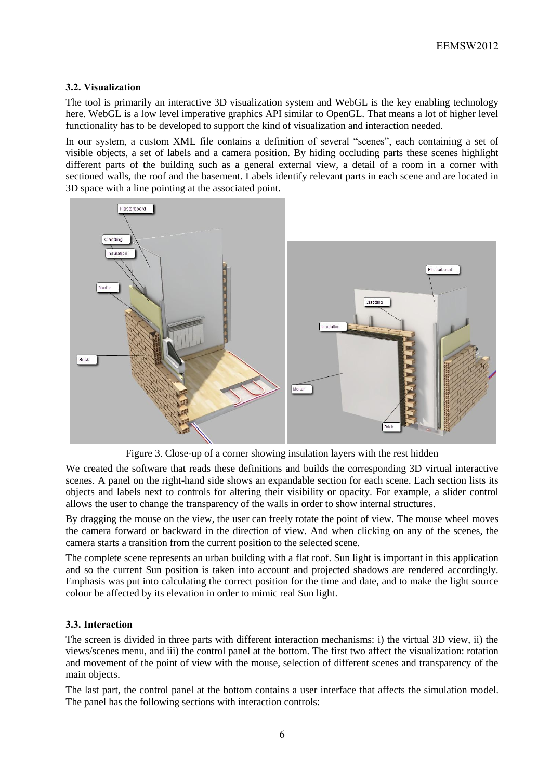## **3.2. Visualization**

The tool is primarily an interactive 3D visualization system and WebGL is the key enabling technology here. WebGL is a low level imperative graphics API similar to OpenGL. That means a lot of higher level functionality has to be developed to support the kind of visualization and interaction needed.

In our system, a custom XML file contains a definition of several "scenes", each containing a set of visible objects, a set of labels and a camera position. By hiding occluding parts these scenes highlight different parts of the building such as a general external view, a detail of a room in a corner with sectioned walls, the roof and the basement. Labels identify relevant parts in each scene and are located in 3D space with a line pointing at the associated point.



Figure 3. Close-up of a corner showing insulation layers with the rest hidden

We created the software that reads these definitions and builds the corresponding 3D virtual interactive scenes. A panel on the right-hand side shows an expandable section for each scene. Each section lists its objects and labels next to controls for altering their visibility or opacity. For example, a slider control allows the user to change the transparency of the walls in order to show internal structures.

By dragging the mouse on the view, the user can freely rotate the point of view. The mouse wheel moves the camera forward or backward in the direction of view. And when clicking on any of the scenes, the camera starts a transition from the current position to the selected scene.

The complete scene represents an urban building with a flat roof. Sun light is important in this application and so the current Sun position is taken into account and projected shadows are rendered accordingly. Emphasis was put into calculating the correct position for the time and date, and to make the light source colour be affected by its elevation in order to mimic real Sun light.

### **3.3. Interaction**

The screen is divided in three parts with different interaction mechanisms: i) the virtual 3D view, ii) the views/scenes menu, and iii) the control panel at the bottom. The first two affect the visualization: rotation and movement of the point of view with the mouse, selection of different scenes and transparency of the main objects.

The last part, the control panel at the bottom contains a user interface that affects the simulation model. The panel has the following sections with interaction controls: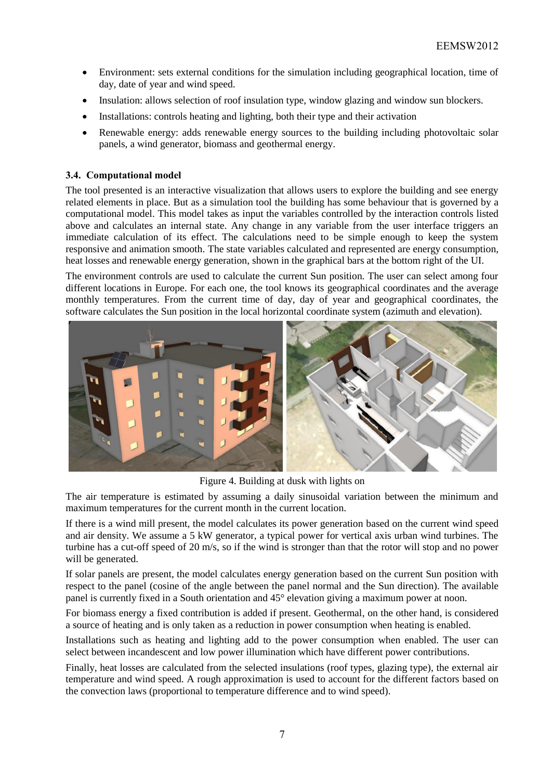- Environment: sets external conditions for the simulation including geographical location, time of day, date of year and wind speed.
- Insulation: allows selection of roof insulation type, window glazing and window sun blockers.
- Installations: controls heating and lighting, both their type and their activation
- Renewable energy: adds renewable energy sources to the building including photovoltaic solar panels, a wind generator, biomass and geothermal energy.

### **3.4. Computational model**

The tool presented is an interactive visualization that allows users to explore the building and see energy related elements in place. But as a simulation tool the building has some behaviour that is governed by a computational model. This model takes as input the variables controlled by the interaction controls listed above and calculates an internal state. Any change in any variable from the user interface triggers an immediate calculation of its effect. The calculations need to be simple enough to keep the system responsive and animation smooth. The state variables calculated and represented are energy consumption, heat losses and renewable energy generation, shown in the graphical bars at the bottom right of the UI.

The environment controls are used to calculate the current Sun position. The user can select among four different locations in Europe. For each one, the tool knows its geographical coordinates and the average monthly temperatures. From the current time of day, day of year and geographical coordinates, the software calculates the Sun position in the local horizontal coordinate system (azimuth and elevation).



Figure 4. Building at dusk with lights on

The air temperature is estimated by assuming a daily sinusoidal variation between the minimum and maximum temperatures for the current month in the current location.

If there is a wind mill present, the model calculates its power generation based on the current wind speed and air density. We assume a 5 kW generator, a typical power for vertical axis urban wind turbines. The turbine has a cut-off speed of 20 m/s, so if the wind is stronger than that the rotor will stop and no power will be generated.

If solar panels are present, the model calculates energy generation based on the current Sun position with respect to the panel (cosine of the angle between the panel normal and the Sun direction). The available panel is currently fixed in a South orientation and 45° elevation giving a maximum power at noon.

For biomass energy a fixed contribution is added if present. Geothermal, on the other hand, is considered a source of heating and is only taken as a reduction in power consumption when heating is enabled.

Installations such as heating and lighting add to the power consumption when enabled. The user can select between incandescent and low power illumination which have different power contributions.

Finally, heat losses are calculated from the selected insulations (roof types, glazing type), the external air temperature and wind speed. A rough approximation is used to account for the different factors based on the convection laws (proportional to temperature difference and to wind speed).